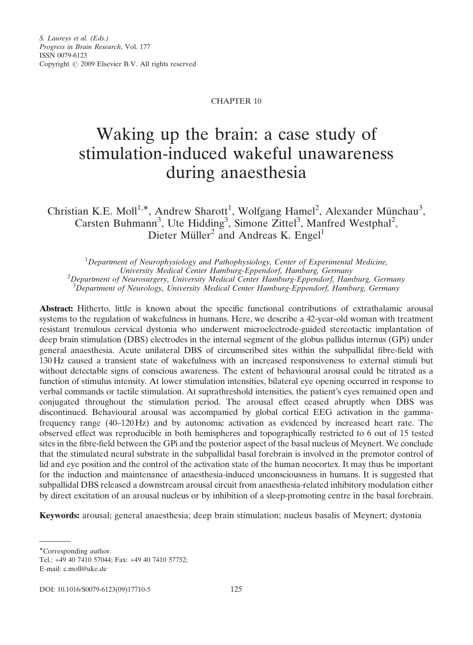### CHAPTER 10

# Waking up the brain: a case study of stimulation-induced wakeful unawareness during anaesthesia

Christian K.E. Moll<sup>1,\*</sup>, Andrew Sharott<sup>1</sup>, Wolfgang Hamel<sup>2</sup>, Alexander Münchau<sup>3</sup>, Carsten Buhmann<sup>3</sup>, Ute Hidding<sup>3</sup>, Simone Zittel<sup>3</sup>, Manfred Westphal<sup>2</sup>, Dieter Müller<sup>2</sup> and Andreas K. Engel<sup>1</sup>

<sup>1</sup>Department of Neurophysiology and Pathophysiology, Center of Experimental Medicine, University Medical Center Hamburg-Eppendorf, Hamburg, Germany <sup>2</sup> Department of Neurosurgery, University Medical Center Hamburg-Eppendorf, Hamburg, Germany <sup>3</sup>Department of Neurology, University Medical Center Hamburg-Eppendorf, Hamburg, Germany

Abstract: Hitherto, little is known about the specific functional contributions of extrathalamic arousal systems to the regulation of wakefulness in humans. Here, we describe a 42-year-old woman with treatment resistant tremulous cervical dystonia who underwent microelectrode-guided stereotactic implantation of deep brain stimulation (DBS) electrodes in the internal segment of the globus pallidus internus (GPi) under general anaesthesia. Acute unilateral DBS of circumscribed sites within the subpallidal fibre-field with 130 Hz caused a transient state of wakefulness with an increased responsiveness to external stimuli but without detectable signs of conscious awareness. The extent of behavioural arousal could be titrated as a function of stimulus intensity. At lower stimulation intensities, bilateral eye opening occurred in response to verbal commands or tactile stimulation. At suprathreshold intensities, the patient's eyes remained open and conjugated throughout the stimulation period. The arousal effect ceased abruptly when DBS was discontinued. Behavioural arousal was accompanied by global cortical EEG activation in the gammafrequency range (40–120 Hz) and by autonomic activation as evidenced by increased heart rate. The observed effect was reproducible in both hemispheres and topographically restricted to 6 out of 15 tested sites in the fibre-field between the GPi and the posterior aspect of the basal nucleus of Meynert. We conclude that the stimulated neural substrate in the subpallidal basal forebrain is involved in the premotor control of lid and eye position and the control of the activation state of the human neocortex. It may thus be important for the induction and maintenance of anaesthesia-induced unconsciousness in humans. It is suggested that subpallidal DBS released a downstream arousal circuit from anaesthesia-related inhibitory modulation either by direct excitation of an arousal nucleus or by inhibition of a sleep-promoting centre in the basal forebrain.

Keywords: arousal; general anaesthesia; deep brain stimulation; nucleus basalis of Meynert; dystonia

DOI: [10.1016/S0079-6123\(09\)17710-5](dx.doi.org/10.1016/S0079-6123(09)17710-5) 125

<sup>-</sup>Corresponding author.

Tel.: +49 40 7410 57044; Fax: +49 40 7410 57752;

E-mail: c.moll@uke.de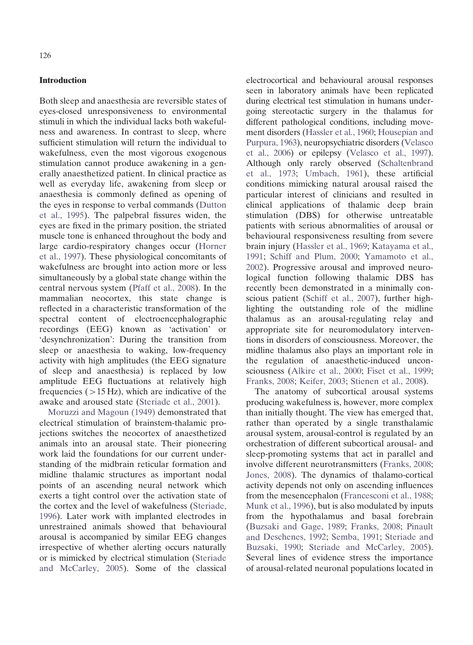## **Introduction**

Both sleep and anaesthesia are reversible states of eyes-closed unresponsiveness to environmental stimuli in which the individual lacks both wakefulness and awareness. In contrast to sleep, where sufficient stimulation will return the individual to wakefulness, even the most vigorous exogenous stimulation cannot produce awakening in a generally anaesthetized patient. In clinical practice as well as everyday life, awakening from sleep or anaesthesia is commonly defined as opening of the eyes in response to verbal commands ([Dutton](#page-17-0) [et al., 1995\)](#page-17-0). The palpebral fissures widen, the eyes are fixed in the primary position, the striated muscle tone is enhanced throughout the body and large cardio-respiratory changes occur ([Horner](#page-17-0) [et al., 1997](#page-17-0)). These physiological concomitants of wakefulness are brought into action more or less simultaneously by a global state change within the central nervous system ([Pfaff et al., 2008](#page-19-0)). In the mammalian neocortex, this state change is reflected in a characteristic transformation of the spectral content of electroencephalographic recordings (EEG) known as 'activation' or 'desynchronization': During the transition from sleep or anaesthesia to waking, low-frequency activity with high amplitudes (the EEG signature of sleep and anaesthesia) is replaced by low amplitude EEG fluctuations at relatively high frequencies  $(>15$  Hz), which are indicative of the awake and aroused state ([Steriade et al., 2001](#page-19-0)).

[Moruzzi and Magoun \(1949\)](#page-18-0) demonstrated that electrical stimulation of brainstem-thalamic projections switches the neocortex of anaesthetized animals into an arousal state. Their pioneering work laid the foundations for our current understanding of the midbrain reticular formation and midline thalamic structures as important nodal points of an ascending neural network which exerts a tight control over the activation state of the cortex and the level of wakefulness ([Steriade,](#page-19-0) [1996](#page-19-0)). Later work with implanted electrodes in unrestrained animals showed that behavioural arousal is accompanied by similar EEG changes irrespective of whether alerting occurs naturally or is mimicked by electrical stimulation ([Steriade](#page-19-0) [and McCarley, 2005\)](#page-19-0). Some of the classical electrocortical and behavioural arousal responses seen in laboratory animals have been replicated during electrical test stimulation in humans undergoing stereotactic surgery in the thalamus for different pathological conditions, including movement disorders ([Hassler et al., 1960](#page-17-0); [Housepian and](#page-18-0) [Purpura, 1963\)](#page-18-0), neuropsychiatric disorders ([Velasco](#page-19-0) [et al., 2006\)](#page-19-0) or epilepsy ([Velasco et al., 1997\)](#page-19-0). Although only rarely observed ([Schaltenbrand](#page-19-0) [et al., 1973;](#page-19-0) [Umbach, 1961\)](#page-19-0), these artificial conditions mimicking natural arousal raised the particular interest of clinicians and resulted in clinical applications of thalamic deep brain stimulation (DBS) for otherwise untreatable patients with serious abnormalities of arousal or behavioural responsiveness resulting from severe brain injury ([Hassler et al., 1969;](#page-17-0) [Katayama et al.,](#page-18-0) [1991](#page-18-0); [Schiff and Plum, 2000;](#page-19-0) [Yamamoto et al.,](#page-20-0) [2002](#page-20-0)). Progressive arousal and improved neurological function following thalamic DBS has recently been demonstrated in a minimally conscious patient [\(Schiff et al., 2007](#page-19-0)), further highlighting the outstanding role of the midline thalamus as an arousal-regulating relay and appropriate site for neuromodulatory interventions in disorders of consciousness. Moreover, the midline thalamus also plays an important role in the regulation of anaesthetic-induced unconsciousness [\(Alkire et al., 2000](#page-16-0); [Fiset et al., 1999](#page-17-0); [Franks, 2008;](#page-17-0) [Keifer, 2003](#page-18-0); [Stienen et al., 2008](#page-19-0)).

The anatomy of subcortical arousal systems producing wakefulness is, however, more complex than initially thought. The view has emerged that, rather than operated by a single transthalamic arousal system, arousal-control is regulated by an orchestration of different subcortical arousal- and sleep-promoting systems that act in parallel and involve different neurotransmitters [\(Franks, 2008](#page-17-0); [Jones, 2008](#page-18-0)). The dynamics of thalamo-cortical activity depends not only on ascending influences from the mesencephalon [\(Francesconi et al., 1988](#page-17-0); [Munk et al., 1996](#page-18-0)), but is also modulated by inputs from the hypothalamus and basal forebrain [\(Buzsaki and Gage, 1989;](#page-17-0) [Franks, 2008](#page-17-0); [Pinault](#page-19-0) and [Deschenes,](#page-19-0) 1992; [Semba, 1991](#page-19-0); [Steriade and](#page-19-0) [Buzsaki, 1990;](#page-19-0) [Steriade and McCarley, 2005\)](#page-19-0). Several lines of evidence stress the importance of arousal-related neuronal populations located in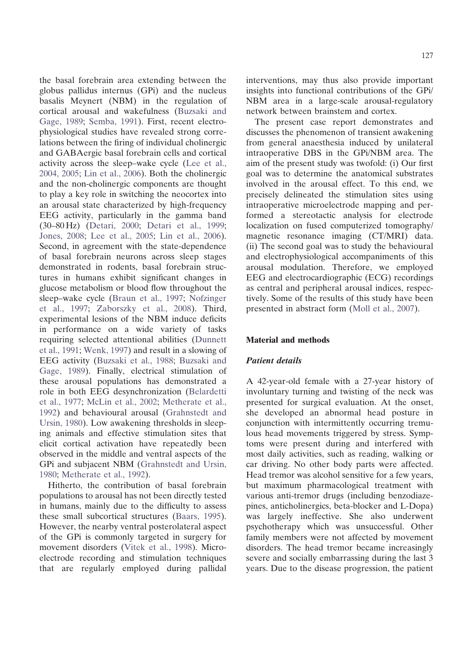the basal forebrain area extending between the globus pallidus internus (GPi) and the nucleus basalis Meynert (NBM) in the regulation of cortical arousal and wakefulness ([Buzsaki and](#page-17-0) [Gage, 1989;](#page-17-0) [Semba, 1991\)](#page-19-0). First, recent electrophysiological studies have revealed strong correlations between the firing of individual cholinergic and GABAergic basal forebrain cells and cortical activity across the sleep–wake cycle [\(Lee et al.,](#page-18-0) [2004, 2005](#page-18-0); [Lin et al., 2006](#page-18-0)). Both the cholinergic and the non-cholinergic components are thought to play a key role in switching the neocortex into an arousal state characterized by high-frequency EEG activity, particularly in the gamma band (30–80 Hz) ([Detari, 2000;](#page-17-0) [Detari et al., 1999](#page-17-0); [Jones, 2008;](#page-18-0) [Lee et al., 2005;](#page-18-0) [Lin et al., 2006](#page-18-0)). Second, in agreement with the state-dependence of basal forebrain neurons across sleep stages demonstrated in rodents, basal forebrain structures in humans exhibit significant changes in glucose metabolism or blood flow throughout the sleep–wake cycle [\(Braun et al., 1997;](#page-16-0) [Nofzinger](#page-18-0) [et al., 1997](#page-18-0); [Zaborszky et al., 2008](#page-20-0)). Third, experimental lesions of the NBM induce deficits in performance on a wide variety of tasks requiring selected attentional abilities ([Dunnett](#page-17-0) [et al., 1991](#page-17-0); [Wenk, 1997](#page-20-0)) and result in a slowing of EEG activity ([Buzsaki et al., 1988;](#page-16-0) [Buzsaki and](#page-17-0) [Gage, 1989](#page-17-0)). Finally, electrical stimulation of these arousal populations has demonstrated a role in both EEG desynchronization [\(Belardetti](#page-16-0)

[et al., 1977;](#page-16-0) [McLin et al., 2002;](#page-18-0) [Metherate et al.,](#page-18-0) [1992](#page-18-0)) and behavioural arousal [\(Grahnstedt and](#page-17-0) [Ursin, 1980](#page-17-0)). Low awakening thresholds in sleeping animals and effective stimulation sites that elicit cortical activation have repeatedly been observed in the middle and ventral aspects of the GPi and subjacent NBM ([Grahnstedt and Ursin,](#page-17-0) [1980](#page-17-0); [Metherate et al., 1992](#page-18-0)).

Hitherto, the contribution of basal forebrain populations to arousal has not been directly tested in humans, mainly due to the difficulty to assess these small subcortical structures [\(Baars, 1995](#page-16-0)). However, the nearby ventral posterolateral aspect of the GPi is commonly targeted in surgery for movement disorders [\(Vitek et al., 1998](#page-20-0)). Microelectrode recording and stimulation techniques that are regularly employed during pallidal interventions, may thus also provide important insights into functional contributions of the GPi/ NBM area in a large-scale arousal-regulatory network between brainstem and cortex.

The present case report demonstrates and discusses the phenomenon of transient awakening from general anaesthesia induced by unilateral intraoperative DBS in the GPi/NBM area. The aim of the present study was twofold: (i) Our first goal was to determine the anatomical substrates involved in the arousal effect. To this end, we precisely delineated the stimulation sites using intraoperative microelectrode mapping and performed a stereotactic analysis for electrode localization on fused computerized tomography/ magnetic resonance imaging (CT/MRI) data. (ii) The second goal was to study the behavioural and electrophysiological accompaniments of this arousal modulation. Therefore, we employed EEG and electrocardiographic (ECG) recordings as central and peripheral arousal indices, respectively. Some of the results of this study have been presented in abstract form ([Moll et al., 2007](#page-18-0)).

# Material and methods

## Patient details

A 42-year-old female with a 27-year history of involuntary turning and twisting of the neck was presented for surgical evaluation. At the onset, she developed an abnormal head posture in conjunction with intermittently occurring tremulous head movements triggered by stress. Symptoms were present during and interfered with most daily activities, such as reading, walking or car driving. No other body parts were affected. Head tremor was alcohol sensitive for a few years, but maximum pharmacological treatment with various anti-tremor drugs (including benzodiazepines, anticholinergics, beta-blocker and L-Dopa) was largely ineffective. She also underwent psychotherapy which was unsuccessful. Other family members were not affected by movement disorders. The head tremor became increasingly severe and socially embarrassing during the last 3 years. Due to the disease progression, the patient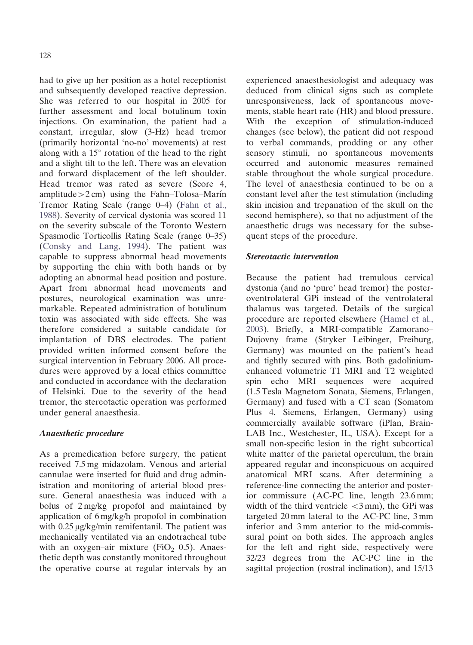had to give up her position as a hotel receptionist and subsequently developed reactive depression. She was referred to our hospital in 2005 for further assessment and local botulinum toxin injections. On examination, the patient had a constant, irregular, slow (3-Hz) head tremor (primarily horizontal 'no-no' movements) at rest along with a  $15^{\circ}$  rotation of the head to the right and a slight tilt to the left. There was an elevation and forward displacement of the left shoulder. Head tremor was rated as severe (Score 4, amplitude  $>2$  cm) using the Fahn–Tolosa–Marín Tremor Rating Scale (range 0–4) [\(Fahn et al.,](#page-17-0) [1988](#page-17-0)). Severity of cervical dystonia was scored 11 on the severity subscale of the Toronto Western Spasmodic Torticollis Rating Scale (range 0–35) [\(Consky and Lang, 1994\)](#page-17-0). The patient was capable to suppress abnormal head movements by supporting the chin with both hands or by adopting an abnormal head position and posture. Apart from abnormal head movements and postures, neurological examination was unremarkable. Repeated administration of botulinum toxin was associated with side effects. She was therefore considered a suitable candidate for implantation of DBS electrodes. The patient provided written informed consent before the surgical intervention in February 2006. All procedures were approved by a local ethics committee and conducted in accordance with the declaration of Helsinki. Due to the severity of the head tremor, the stereotactic operation was performed under general anaesthesia.

# Anaesthetic procedure

As a premedication before surgery, the patient received 7.5 mg midazolam. Venous and arterial cannulae were inserted for fluid and drug administration and monitoring of arterial blood pressure. General anaesthesia was induced with a bolus of 2 mg/kg propofol and maintained by application of 6 mg/kg/h propofol in combination with  $0.25 \mu g/kg/min$  remifentanil. The patient was mechanically ventilated via an endotracheal tube with an oxygen–air mixture (FiO<sub>2</sub> 0.5). Anaesthetic depth was constantly monitored throughout the operative course at regular intervals by an

experienced anaesthesiologist and adequacy was deduced from clinical signs such as complete unresponsiveness, lack of spontaneous movements, stable heart rate (HR) and blood pressure. With the exception of stimulation-induced changes (see below), the patient did not respond to verbal commands, prodding or any other sensory stimuli, no spontaneous movements occurred and autonomic measures remained stable throughout the whole surgical procedure. The level of anaesthesia continued to be on a constant level after the test stimulation (including skin incision and trepanation of the skull on the second hemisphere), so that no adjustment of the anaesthetic drugs was necessary for the subsequent steps of the procedure.

# Stereotactic intervention

Because the patient had tremulous cervical dystonia (and no 'pure' head tremor) the posteroventrolateral GPi instead of the ventrolateral thalamus was targeted. Details of the surgical procedure are reported elsewhere [\(Hamel et al.,](#page-17-0) [2003](#page-17-0)). Briefly, a MRI-compatible Zamorano– Dujovny frame (Stryker Leibinger, Freiburg, Germany) was mounted on the patient's head and tightly secured with pins. Both gadoliniumenhanced volumetric T1 MRI and T2 weighted spin echo MRI sequences were acquired (1.5 Tesla Magnetom Sonata, Siemens, Erlangen, Germany) and fused with a CT scan (Somatom Plus 4, Siemens, Erlangen, Germany) using commercially available software (iPlan, Brain-LAB Inc., Westchester, IL, USA). Except for a small non-specific lesion in the right subcortical white matter of the parietal operculum, the brain appeared regular and inconspicuous on acquired anatomical MRI scans. After determining a reference-line connecting the anterior and posterior commissure (AC-PC line, length 23.6 mm; width of the third ventricle  $\langle 3 \text{ mm} \rangle$ , the GPi was targeted 20 mm lateral to the AC-PC line, 3 mm inferior and 3 mm anterior to the mid-commissural point on both sides. The approach angles for the left and right side, respectively were 32/23 degrees from the AC-PC line in the sagittal projection (rostral inclination), and 15/13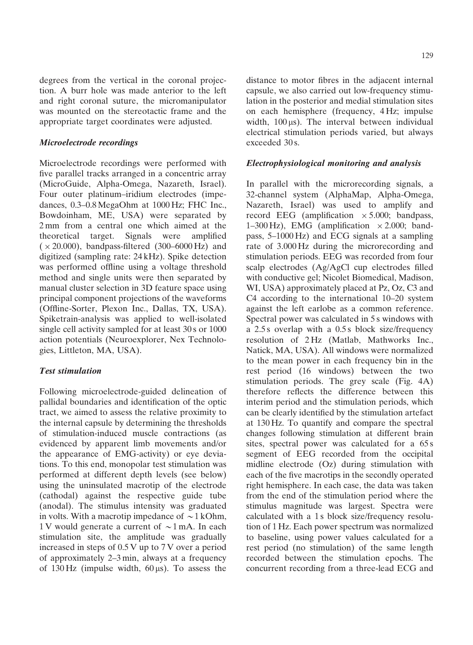degrees from the vertical in the coronal projection. A burr hole was made anterior to the left and right coronal suture, the micromanipulator was mounted on the stereotactic frame and the appropriate target coordinates were adjusted.

## Microelectrode recordings

Microelectrode recordings were performed with five parallel tracks arranged in a concentric array (MicroGuide, Alpha-Omega, Nazareth, Israel). Four outer platinum–iridium electrodes (impedances, 0.3–0.8 MegaOhm at 1000 Hz; FHC Inc., Bowdoinham, ME, USA) were separated by 2 mm from a central one which aimed at the theoretical target. Signals were amplified  $(\times 20.000)$ , bandpass-filtered  $(300-6000 \,\text{Hz})$  and digitized (sampling rate: 24 kHz). Spike detection was performed offline using a voltage threshold method and single units were then separated by manual cluster selection in 3D feature space using principal component projections of the waveforms (Offline-Sorter, Plexon Inc., Dallas, TX, USA). Spiketrain-analysis was applied to well-isolated single cell activity sampled for at least 30 s or 1000 action potentials (Neuroexplorer, Nex Technologies, Littleton, MA, USA).

## Test stimulation

Following microelectrode-guided delineation of pallidal boundaries and identification of the optic tract, we aimed to assess the relative proximity to the internal capsule by determining the thresholds of stimulation-induced muscle contractions (as evidenced by apparent limb movements and/or the appearance of EMG-activity) or eye deviations. To this end, monopolar test stimulation was performed at different depth levels (see below) using the uninsulated macrotip of the electrode (cathodal) against the respective guide tube (anodal). The stimulus intensity was graduated in volts. With a macrotip impedance of  $\sim$  1 kOhm, 1 V would generate a current of  $\sim$ 1 mA. In each stimulation site, the amplitude was gradually increased in steps of 0.5 V up to 7 V over a period of approximately 2–3 min, always at a frequency of  $130 \text{ Hz}$  (impulse width,  $60 \mu s$ ). To assess the distance to motor fibres in the adjacent internal capsule, we also carried out low-frequency stimulation in the posterior and medial stimulation sites on each hemisphere (frequency, 4 Hz; impulse width,  $100 \,\mu s$ ). The interval between individual electrical stimulation periods varied, but always exceeded 30 s.

# Electrophysiological monitoring and analysis

In parallel with the microrecording signals, a 32-channel system (AlphaMap, Alpha-Omega, Nazareth, Israel) was used to amplify and record EEG (amplification  $\times$  5.000; bandpass, 1–300 Hz), EMG (amplification  $\times$  2.000; bandpass, 5–1000 Hz) and ECG signals at a sampling rate of 3.000 Hz during the microrecording and stimulation periods. EEG was recorded from four scalp electrodes (Ag/AgCl cup electrodes filled with conductive gel; Nicolet Biomedical, Madison, WI, USA) approximately placed at Pz, Oz, C3 and C4 according to the international 10–20 system against the left earlobe as a common reference. Spectral power was calculated in 5 s windows with a 2.5 s overlap with a 0.5 s block size/frequency resolution of 2 Hz (Matlab, Mathworks Inc., Natick, MA, USA). All windows were normalized to the mean power in each frequency bin in the rest period (16 windows) between the two stimulation periods. The grey scale (Fig. 4A) therefore reflects the difference between this interim period and the stimulation periods, which can be clearly identified by the stimulation artefact at 130 Hz. To quantify and compare the spectral changes following stimulation at different brain sites, spectral power was calculated for a 65 s segment of EEG recorded from the occipital midline electrode (Oz) during stimulation with each of the five macrotips in the secondly operated right hemisphere. In each case, the data was taken from the end of the stimulation period where the stimulus magnitude was largest. Spectra were calculated with a 1s block size/frequency resolution of 1 Hz. Each power spectrum was normalized to baseline, using power values calculated for a rest period (no stimulation) of the same length recorded between the stimulation epochs. The concurrent recording from a three-lead ECG and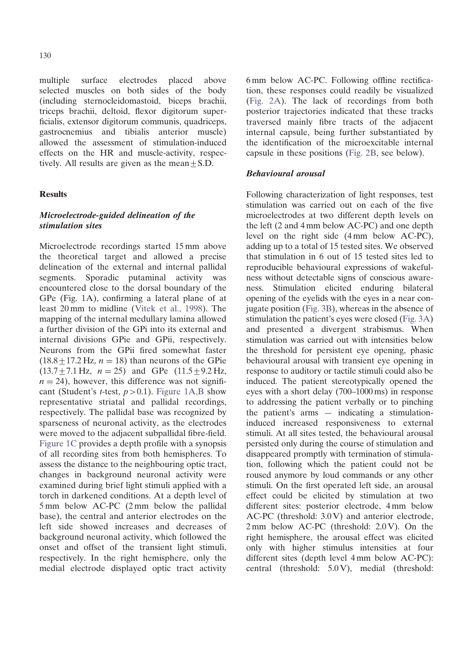multiple surface electrodes placed above selected muscles on both sides of the body (including sternocleidomastoid, biceps brachii, triceps brachii, deltoid, flexor digitorum superficialis, extensor digitorum communis, quadriceps, gastrocnemius and tibialis anterior muscle) allowed the assessment of stimulation-induced effects on the HR and muscle-activity, respectively. All results are given as the mean $+$ S.D.

#### Results

# Microelectrode-guided delineation of the stimulation sites

Microelectrode recordings started 15 mm above the theoretical target and allowed a precise delineation of the external and internal pallidal segments. Sporadic putaminal activity was encountered close to the dorsal boundary of the GPe (Fig. 1A), confirming a lateral plane of at least 20 mm to midline [\(Vitek et al., 1998\)](#page-20-0). The mapping of the internal medullary lamina allowed a further division of the GPi into its external and internal divisions GPie and GPii, respectively. Neurons from the GPii fired somewhat faster  $(18.8 + 17.2$  Hz,  $n = 18)$  than neurons of the GPie  $(13.7+7.1 \text{ Hz}, n = 25)$  and GPe  $(11.5+9.2 \text{ Hz},$  $n = 24$ ), however, this difference was not significant (Student's *t*-test,  $p > 0.1$ ). [Figure 1A,B](#page-6-0) show representative striatal and pallidal recordings, respectively. The pallidal base was recognized by sparseness of neuronal activity, as the electrodes were moved to the adjacent subpallidal fibre-field. [Figure 1C](#page-6-0) provides a depth profile with a synopsis of all recording sites from both hemispheres. To assess the distance to the neighbouring optic tract, changes in background neuronal activity were examined during brief light stimuli applied with a torch in darkened conditions. At a depth level of 5 mm below AC-PC (2 mm below the pallidal base), the central and anterior electrodes on the left side showed increases and decreases of background neuronal activity, which followed the onset and offset of the transient light stimuli, respectively. In the right hemisphere, only the medial electrode displayed optic tract activity

6 mm below AC-PC. Following offline rectification, these responses could readily be visualized [\(Fig. 2A](#page-7-0)). The lack of recordings from both posterior trajectories indicated that these tracks traversed mainly fibre tracts of the adjacent internal capsule, being further substantiated by the identification of the microexcitable internal capsule in these positions ([Fig. 2B](#page-7-0), see below).

# Behavioural arousal

Following characterization of light responses, test stimulation was carried out on each of the five microelectrodes at two different depth levels on the left (2 and 4 mm below AC-PC) and one depth level on the right side (4 mm below AC-PC), adding up to a total of 15 tested sites. We observed that stimulation in 6 out of 15 tested sites led to reproducible behavioural expressions of wakefulness without detectable signs of conscious awareness. Stimulation elicited enduring bilateral opening of the eyelids with the eyes in a near conjugate position ([Fig. 3B](#page-7-0)), whereas in the absence of stimulation the patient's eyes were closed ([Fig. 3A](#page-7-0)) and presented a divergent strabismus. When stimulation was carried out with intensities below the threshold for persistent eye opening, phasic behavioural arousal with transient eye opening in response to auditory or tactile stimuli could also be induced. The patient stereotypically opened the eyes with a short delay (700–1000 ms) in response to addressing the patient verbally or to pinching the patient's arms — indicating a stimulationinduced increased responsiveness to external stimuli. At all sites tested, the behavioural arousal persisted only during the course of stimulation and disappeared promptly with termination of stimulation, following which the patient could not be roused anymore by loud commands or any other stimuli. On the first operated left side, an arousal effect could be elicited by stimulation at two different sites: posterior electrode, 4 mm below AC-PC (threshold: 3.0 V) and anterior electrode, 2 mm below AC-PC (threshold: 2.0 V). On the right hemisphere, the arousal effect was elicited only with higher stimulus intensities at four different sites (depth level 4 mm below AC-PC): central (threshold: 5.0 V), medial (threshold: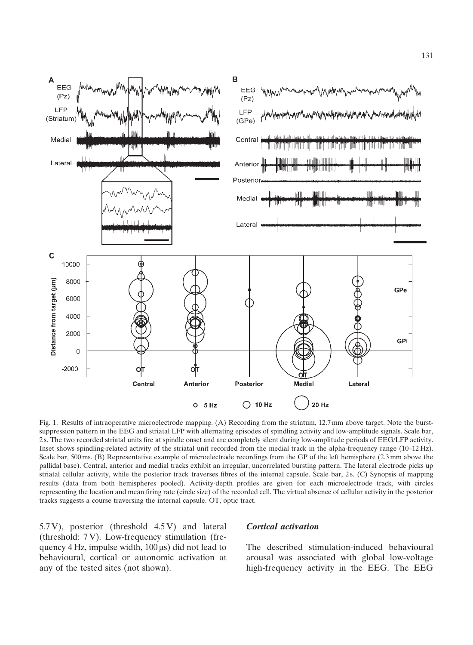<span id="page-6-0"></span>

Fig. 1. Results of intraoperative microelectrode mapping. (A) Recording from the striatum, 12.7 mm above target. Note the burstsuppression pattern in the EEG and striatal LFP with alternating episodes of spindling activity and low-amplitude signals. Scale bar, 2 s. The two recorded striatal units fire at spindle onset and are completely silent during low-amplitude periods of EEG/LFP activity. Inset shows spindling-related activity of the striatal unit recorded from the medial track in the alpha-frequency range (10–12 Hz). Scale bar, 500 ms. (B) Representative example of microelectrode recordings from the GP of the left hemisphere (2.3 mm above the pallidal base). Central, anterior and medial tracks exhibit an irregular, uncorrelated bursting pattern. The lateral electrode picks up striatal cellular activity, while the posterior track traverses fibres of the internal capsule. Scale bar, 2 s. (C) Synopsis of mapping results (data from both hemispheres pooled). Activity-depth profiles are given for each microelectrode track, with circles representing the location and mean firing rate (circle size) of the recorded cell. The virtual absence of cellular activity in the posterior tracks suggests a course traversing the internal capsule. OT, optic tract.

5.7 V), posterior (threshold 4.5 V) and lateral (threshold: 7 V). Low-frequency stimulation (frequency  $4$  Hz, impulse width,  $100 \,\mu s$ ) did not lead to behavioural, cortical or autonomic activation at any of the tested sites (not shown).

# Cortical activation

The described stimulation-induced behavioural arousal was associated with global low-voltage high-frequency activity in the EEG. The EEG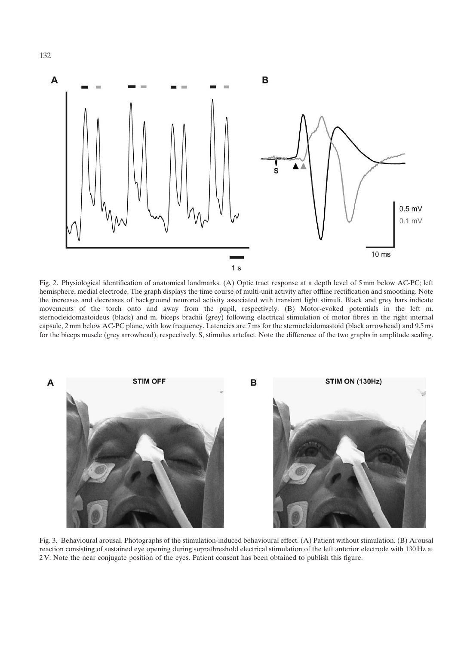<span id="page-7-0"></span>

Fig. 2. Physiological identification of anatomical landmarks. (A) Optic tract response at a depth level of 5 mm below AC-PC; left hemisphere, medial electrode. The graph displays the time course of multi-unit activity after offline rectification and smoothing. Note the increases and decreases of background neuronal activity associated with transient light stimuli. Black and grey bars indicate movements of the torch onto and away from the pupil, respectively. (B) Motor-evoked potentials in the left m. sternocleidomastoideus (black) and m. biceps brachii (grey) following electrical stimulation of motor fibres in the right internal capsule, 2 mm below AC-PC plane, with low frequency. Latencies are 7 ms for the sternocleidomastoid (black arrowhead) and 9.5 ms for the biceps muscle (grey arrowhead), respectively. S, stimulus artefact. Note the difference of the two graphs in amplitude scaling.



Fig. 3. Behavioural arousal. Photographs of the stimulation-induced behavioural effect. (A) Patient without stimulation. (B) Arousal reaction consisting of sustained eye opening during suprathreshold electrical stimulation of the left anterior electrode with 130 Hz at 2 V. Note the near conjugate position of the eyes. Patient consent has been obtained to publish this figure.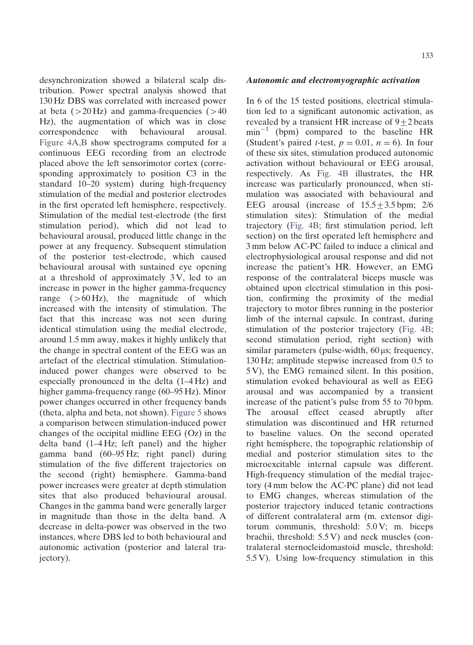desynchronization showed a bilateral scalp distribution. Power spectral analysis showed that 130 Hz DBS was correlated with increased power at beta ( $>20$  Hz) and gamma-frequencies ( $>40$ Hz), the augmentation of which was in close correspondence with behavioural arousal. [Figure 4A,B](#page-9-0) show spectrograms computed for a continuous EEG recording from an electrode placed above the left sensorimotor cortex (corresponding approximately to position C3 in the standard 10–20 system) during high-frequency stimulation of the medial and posterior electrodes in the first operated left hemisphere, respectively. Stimulation of the medial test-electrode (the first stimulation period), which did not lead to behavioural arousal, produced little change in the power at any frequency. Subsequent stimulation of the posterior test-electrode, which caused behavioural arousal with sustained eye opening at a threshold of approximately 3 V, led to an increase in power in the higher gamma-frequency range  $(>60 \text{ Hz})$ , the magnitude of which increased with the intensity of stimulation. The fact that this increase was not seen during identical stimulation using the medial electrode, around 1.5 mm away, makes it highly unlikely that the change in spectral content of the EEG was an artefact of the electrical stimulation. Stimulationinduced power changes were observed to be especially pronounced in the delta (1–4 Hz) and higher gamma-frequency range (60–95 Hz). Minor power changes occurred in other frequency bands (theta, alpha and beta, not shown). [Figure 5](#page-10-0) shows a comparison between stimulation-induced power changes of the occipital midline EEG (Oz) in the delta band (1–4 Hz; left panel) and the higher gamma band (60–95 Hz; right panel) during stimulation of the five different trajectories on the second (right) hemisphere. Gamma-band power increases were greater at depth stimulation sites that also produced behavioural arousal. Changes in the gamma band were generally larger in magnitude than those in the delta band. A decrease in delta-power was observed in the two instances, where DBS led to both behavioural and autonomic activation (posterior and lateral trajectory).

#### Autonomic and electromyographic activation

In 6 of the 15 tested positions, electrical stimulation led to a significant autonomic activation, as revealed by a transient HR increase of  $9+2$  beats  $min^{-1}$  (bpm) compared to the baseline HR (Student's paired *t*-test,  $p = 0.01$ ,  $n = 6$ ). In four of these six sites, stimulation produced autonomic activation without behavioural or EEG arousal, respectively. As [Fig. 4B](#page-9-0) illustrates, the HR increase was particularly pronounced, when stimulation was associated with behavioural and EEG arousal (increase of  $15.5+3.5$  bpm;  $2/6$ stimulation sites): Stimulation of the medial trajectory ([Fig. 4B](#page-9-0); first stimulation period, left section) on the first operated left hemisphere and 3 mm below AC-PC failed to induce a clinical and electrophysiological arousal response and did not increase the patient's HR. However, an EMG response of the contralateral biceps muscle was obtained upon electrical stimulation in this position, confirming the proximity of the medial trajectory to motor fibres running in the posterior limb of the internal capsule. In contrast, during stimulation of the posterior trajectory [\(Fig. 4B](#page-9-0); second stimulation period, right section) with similar parameters (pulse-width,  $60 \,\mu s$ ; frequency, 130 Hz; amplitude stepwise increased from 0.5 to 5 V), the EMG remained silent. In this position, stimulation evoked behavioural as well as EEG arousal and was accompanied by a transient increase of the patient's pulse from 55 to 70 bpm. The arousal effect ceased abruptly after stimulation was discontinued and HR returned to baseline values. On the second operated right hemisphere, the topographic relationship of medial and posterior stimulation sites to the microexcitable internal capsule was different. High-frequency stimulation of the medial trajectory (4 mm below the AC-PC plane) did not lead to EMG changes, whereas stimulation of the posterior trajectory induced tetanic contractions of different contralateral arm (m. extensor digitorum communis, threshold: 5.0 V; m. biceps brachii, threshold: 5.5 V) and neck muscles (contralateral sternocleidomastoid muscle, threshold: 5.5 V). Using low-frequency stimulation in this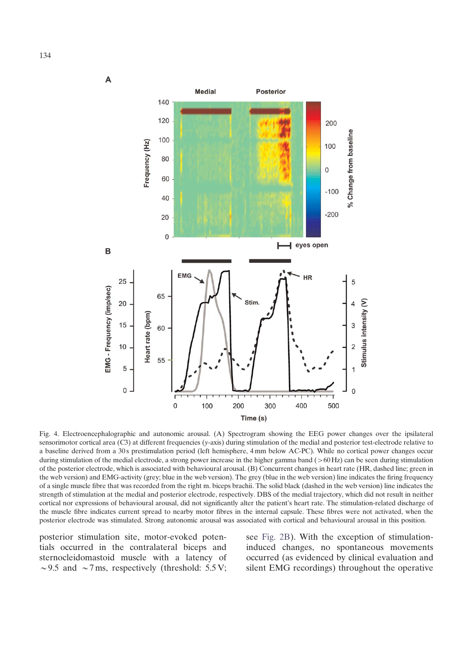<span id="page-9-0"></span>

Fig. 4. Electroencephalographic and autonomic arousal. (A) Spectrogram showing the EEG power changes over the ipsilateral sensorimotor cortical area (C3) at different frequencies (y-axis) during stimulation of the medial and posterior test-electrode relative to a baseline derived from a 30 s prestimulation period (left hemisphere, 4 mm below AC-PC). While no cortical power changes occur during stimulation of the medial electrode, a strong power increase in the higher gamma band ( $>60$  Hz) can be seen during stimulation of the posterior electrode, which is associated with behavioural arousal. (B) Concurrent changes in heart rate (HR, dashed line; green in the web version) and EMG-activity (grey; blue in the web version). The grey (blue in the web version) line indicates the firing frequency of a single muscle fibre that was recorded from the right m. biceps brachii. The solid black (dashed in the web version) line indicates the strength of stimulation at the medial and posterior electrode, respectively. DBS of the medial trajectory, which did not result in neither cortical nor expressions of behavioural arousal, did not significantly alter the patient's heart rate. The stimulation-related discharge of the muscle fibre indicates current spread to nearby motor fibres in the internal capsule. These fibres were not activated, when the posterior electrode was stimulated. Strong autonomic arousal was associated with cortical and behavioural arousal in this position.

posterior stimulation site, motor-evoked potentials occurred in the contralateral biceps and sternocleidomastoid muscle with a latency of  $\sim$  9.5 and  $\sim$  7 ms, respectively (threshold: 5.5 V; see [Fig. 2B](#page-7-0)). With the exception of stimulationinduced changes, no spontaneous movements occurred (as evidenced by clinical evaluation and silent EMG recordings) throughout the operative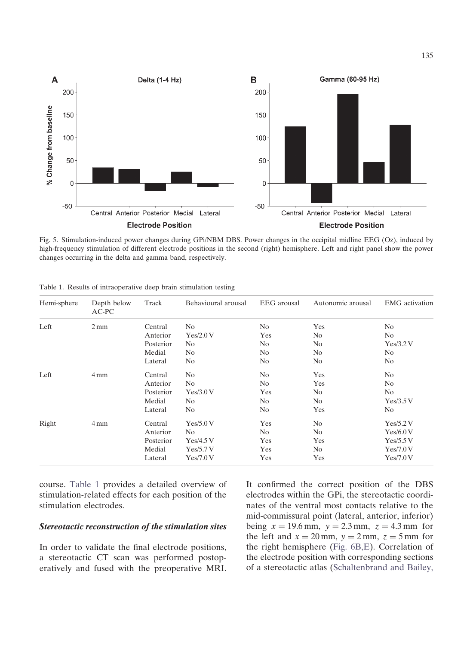<span id="page-10-0"></span>

Fig. 5. Stimulation-induced power changes during GPi/NBM DBS. Power changes in the occipital midline EEG (Oz), induced by high-frequency stimulation of different electrode positions in the second (right) hemisphere. Left and right panel show the power changes occurring in the delta and gamma band, respectively.

| Hemi-sphere | Depth below<br>$AC-PC$ | Track     | Behavioural arousal | EEG arousal    | Autonomic arousal | <b>EMG</b> activation |
|-------------|------------------------|-----------|---------------------|----------------|-------------------|-----------------------|
| Left        | $2 \,\mathrm{mm}$      | Central   | No                  | N <sub>o</sub> | Yes               | N <sub>o</sub>        |
|             |                        | Anterior  | Yes/2.0 V           | Yes            | N <sub>o</sub>    | N <sub>o</sub>        |
|             |                        | Posterior | N <sub>0</sub>      | N <sub>o</sub> | N <sub>o</sub>    | Yes/3.2 V             |
|             |                        | Medial    | N <sub>0</sub>      | No             | N <sub>0</sub>    | No                    |
|             |                        | Lateral   | No                  | No             | N <sub>0</sub>    | No                    |
| Left        | 4 mm                   | Central   | N <sub>0</sub>      | No             | Yes               | No.                   |
|             |                        | Anterior  | N <sub>o</sub>      | N <sub>o</sub> | Yes               | N <sub>o</sub>        |
|             |                        | Posterior | Yes/3.0 V           | Yes            | N <sub>0</sub>    | N <sub>o</sub>        |
|             |                        | Medial    | N <sub>0</sub>      | No             | N <sub>0</sub>    | Yes/3.5 V             |
|             |                        | Lateral   | N <sub>0</sub>      | No             | Yes               | No                    |
| Right       | 4 mm                   | Central   | Yes/5.0 V           | Yes            | No                | Yes/5.2 V             |
|             |                        | Anterior  | N <sub>o</sub>      | No             | N <sub>o</sub>    | Yes/6.0 V             |
|             |                        | Posterior | Yes/4.5 V           | Yes            | Yes               | Yes/5.5V              |
|             |                        | Medial    | Yes/5.7 V           | Yes            | N <sub>0</sub>    | Yes/7.0 V             |
|             |                        | Lateral   | Yes/7.0 V           | Yes            | Yes               | Yes/7.0 V             |

Table 1. Results of intraoperative deep brain stimulation testing

course. Table 1 provides a detailed overview of stimulation-related effects for each position of the stimulation electrodes.

#### Stereotactic reconstruction of the stimulation sites

In order to validate the final electrode positions, a stereotactic CT scan was performed postoperatively and fused with the preoperative MRI. It confirmed the correct position of the DBS electrodes within the GPi, the stereotactic coordinates of the ventral most contacts relative to the mid-commissural point (lateral, anterior, inferior) being  $x = 19.6$  mm,  $y = 2.3$  mm,  $z = 4.3$  mm for the left and  $x = 20$  mm,  $y = 2$  mm,  $z = 5$  mm for the right hemisphere ([Fig. 6B,E\)](#page-11-0). Correlation of the electrode position with corresponding sections of a stereotactic atlas ([Schaltenbrand and Bailey,](#page-19-0)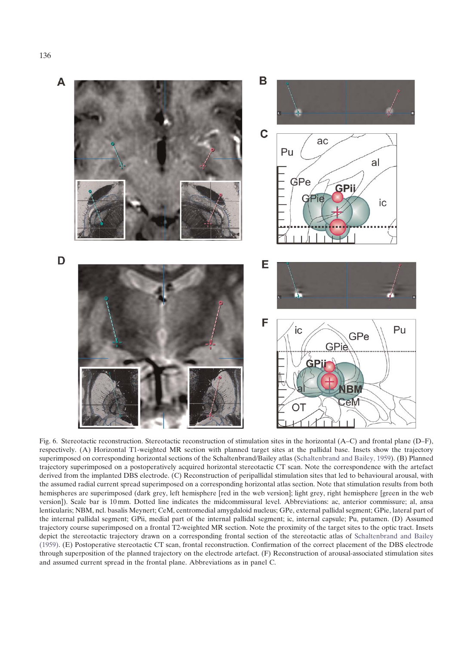<span id="page-11-0"></span>

Fig. 6. Stereotactic reconstruction. Stereotactic reconstruction of stimulation sites in the horizontal (A–C) and frontal plane (D–F), respectively. (A) Horizontal T1-weighted MR section with planned target sites at the pallidal base. Insets show the trajectory superimposed on corresponding horizontal sections of the Schaltenbrand/Bailey atlas ([Schaltenbrand and Bailey, 1959\)](#page-19-0). (B) Planned trajectory superimposed on a postoperatively acquired horizontal stereotactic CT scan. Note the correspondence with the artefact derived from the implanted DBS electrode. (C) Reconstruction of peripallidal stimulation sites that led to behavioural arousal, with the assumed radial current spread superimposed on a corresponding horizontal atlas section. Note that stimulation results from both hemispheres are superimposed (dark grey, left hemisphere [red in the web version]; light grey, right hemisphere [green in the web version]). Scale bar is 10 mm. Dotted line indicates the midcommissural level. Abbreviations: ac, anterior commissure; al, ansa lenticularis; NBM, ncl. basalis Meynert; CeM, centromedial amygdaloid nucleus; GPe, external pallidal segment; GPie, lateral part of the internal pallidal segment; GPii, medial part of the internal pallidal segment; ic, internal capsule; Pu, putamen. (D) Assumed trajectory course superimposed on a frontal T2-weighted MR section. Note the proximity of the target sites to the optic tract. Insets depict the stereotactic trajectory drawn on a corresponding frontal section of the stereotactic atlas of [Schaltenbrand and Bailey](#page-19-0) [\(1959\)](#page-19-0). (E) Postoperative stereotactic CT scan, frontal reconstruction. Confirmation of the correct placement of the DBS electrode through superposition of the planned trajectory on the electrode artefact. (F) Reconstruction of arousal-associated stimulation sites and assumed current spread in the frontal plane. Abbreviations as in panel C.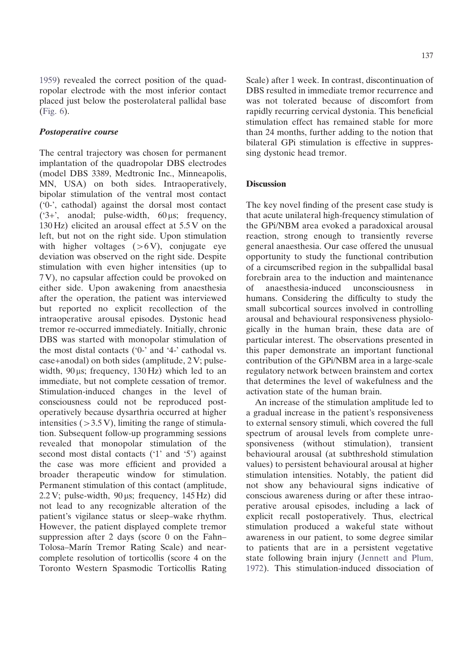[1959](#page-19-0)) revealed the correct position of the quadropolar electrode with the most inferior contact placed just below the posterolateral pallidal base [\(Fig. 6\)](#page-11-0).

## Postoperative course

The central trajectory was chosen for permanent implantation of the quadropolar DBS electrodes (model DBS 3389, Medtronic Inc., Minneapolis, MN, USA) on both sides. Intraoperatively, bipolar stimulation of the ventral most contact ('0-', cathodal) against the dorsal most contact  $('3+)$ ; anodal; pulse-width,  $60 \,\mu s$ ; frequency, 130 Hz) elicited an arousal effect at 5.5 V on the left, but not on the right side. Upon stimulation with higher voltages  $(>6V)$ , conjugate eye deviation was observed on the right side. Despite stimulation with even higher intensities (up to 7 V), no capsular affection could be provoked on either side. Upon awakening from anaesthesia after the operation, the patient was interviewed but reported no explicit recollection of the intraoperative arousal episodes. Dystonic head tremor re-occurred immediately. Initially, chronic DBS was started with monopolar stimulation of the most distal contacts ('0-' and '4-' cathodal vs. case+anodal) on both sides (amplitude, 2 V; pulsewidth,  $90 \mu s$ ; frequency,  $130 \text{ Hz}$ ) which led to an immediate, but not complete cessation of tremor. Stimulation-induced changes in the level of consciousness could not be reproduced postoperatively because dysarthria occurred at higher intensities ( $>3.5$  V), limiting the range of stimulation. Subsequent follow-up programming sessions revealed that monopolar stimulation of the second most distal contacts ('1' and '5') against the case was more efficient and provided a broader therapeutic window for stimulation. Permanent stimulation of this contact (amplitude, 2.2 V; pulse-width,  $90 \,\mu s$ ; frequency,  $145 \,\text{Hz}$ ) did not lead to any recognizable alteration of the patient's vigilance status or sleep–wake rhythm. However, the patient displayed complete tremor suppression after 2 days (score 0 on the Fahn– Tolosa-Marín Tremor Rating Scale) and nearcomplete resolution of torticollis (score 4 on the Toronto Western Spasmodic Torticollis Rating Scale) after 1 week. In contrast, discontinuation of DBS resulted in immediate tremor recurrence and was not tolerated because of discomfort from rapidly recurring cervical dystonia. This beneficial stimulation effect has remained stable for more than 24 months, further adding to the notion that bilateral GPi stimulation is effective in suppressing dystonic head tremor.

# **Discussion**

The key novel finding of the present case study is that acute unilateral high-frequency stimulation of the GPi/NBM area evoked a paradoxical arousal reaction, strong enough to transiently reverse general anaesthesia. Our case offered the unusual opportunity to study the functional contribution of a circumscribed region in the subpallidal basal forebrain area to the induction and maintenance of anaesthesia-induced unconsciousness in humans. Considering the difficulty to study the small subcortical sources involved in controlling arousal and behavioural responsiveness physiologically in the human brain, these data are of particular interest. The observations presented in this paper demonstrate an important functional contribution of the GPi/NBM area in a large-scale regulatory network between brainstem and cortex that determines the level of wakefulness and the activation state of the human brain.

An increase of the stimulation amplitude led to a gradual increase in the patient's responsiveness to external sensory stimuli, which covered the full spectrum of arousal levels from complete unresponsiveness (without stimulation), transient behavioural arousal (at subthreshold stimulation values) to persistent behavioural arousal at higher stimulation intensities. Notably, the patient did not show any behavioural signs indicative of conscious awareness during or after these intraoperative arousal episodes, including a lack of explicit recall postoperatively. Thus, electrical stimulation produced a wakeful state without awareness in our patient, to some degree similar to patients that are in a persistent vegetative state following brain injury ([Jennett and Plum,](#page-18-0) [1972](#page-18-0)). This stimulation-induced dissociation of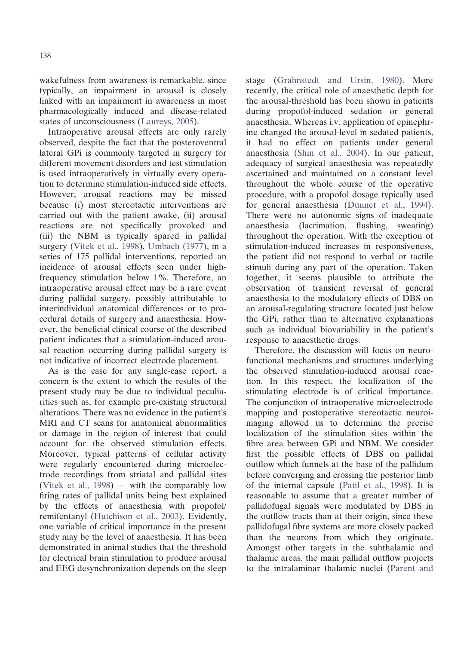wakefulness from awareness is remarkable, since typically, an impairment in arousal is closely linked with an impairment in awareness in most pharmacologically induced and disease-related states of unconsciousness [\(Laureys, 2005](#page-18-0)).

Intraoperative arousal effects are only rarely observed, despite the fact that the posteroventral lateral GPi is commonly targeted in surgery for different movement disorders and test stimulation is used intraoperatively in virtually every operation to determine stimulation-induced side effects. However, arousal reactions may be missed because (i) most stereotactic interventions are carried out with the patient awake, (ii) arousal reactions are not specifically provoked and (iii) the NBM is typically spared in pallidal surgery ([Vitek et al., 1998](#page-20-0)). [Umbach \(1977\)](#page-19-0), in a series of 175 pallidal interventions, reported an incidence of arousal effects seen under highfrequency stimulation below 1%. Therefore, an intraoperative arousal effect may be a rare event during pallidal surgery, possibly attributable to interindividual anatomical differences or to procedural details of surgery and anaesthesia. However, the beneficial clinical course of the described patient indicates that a stimulation-induced arousal reaction occurring during pallidal surgery is not indicative of incorrect electrode placement.

As is the case for any single-case report, a concern is the extent to which the results of the present study may be due to individual peculiarities such as, for example pre-existing structural alterations. There was no evidence in the patient's MRI and CT scans for anatomical abnormalities or damage in the region of interest that could account for the observed stimulation effects. Moreover, typical patterns of cellular activity were regularly encountered during microelectrode recordings from striatal and pallidal sites [\(Vitek et al., 1998](#page-20-0)) — with the comparably low firing rates of pallidal units being best explained by the effects of anaesthesia with propofol/ remifentanyl [\(Hutchison et al., 2003\)](#page-18-0). Evidently, one variable of critical importance in the present study may be the level of anaesthesia. It has been demonstrated in animal studies that the threshold for electrical brain stimulation to produce arousal and EEG desynchronization depends on the sleep stage ([Grahnstedt and Ursin, 1980](#page-17-0)). More recently, the critical role of anaesthetic depth for the arousal-threshold has been shown in patients during propofol-induced sedation or general anaesthesia. Whereas i.v. application of epinephrine changed the arousal-level in sedated patients, it had no effect on patients under general anaesthesia [\(Shin et al., 2004](#page-19-0)). In our patient, adequacy of surgical anaesthesia was repeatedly ascertained and maintained on a constant level throughout the whole course of the operative procedure, with a propofol dosage typically used for general anaesthesia [\(Dunnet et al., 1994\)](#page-17-0). There were no autonomic signs of inadequate anaesthesia (lacrimation, flushing, sweating) throughout the operation. With the exception of stimulation-induced increases in responsiveness, the patient did not respond to verbal or tactile stimuli during any part of the operation. Taken together, it seems plausible to attribute the observation of transient reversal of general anaesthesia to the modulatory effects of DBS on an arousal-regulating structure located just below the GPi, rather than to alternative explanations such as individual biovariability in the patient's response to anaesthetic drugs.

Therefore, the discussion will focus on neurofunctional mechanisms and structures underlying the observed stimulation-induced arousal reaction. In this respect, the localization of the stimulating electrode is of critical importance. The conjunction of intraoperative microelectrode mapping and postoperative stereotactic neuroimaging allowed us to determine the precise localization of the stimulation sites within the fibre area between GPi and NBM. We consider first the possible effects of DBS on pallidal outflow which funnels at the base of the pallidum before converging and crossing the posterior limb of the internal capsule [\(Patil et al., 1998](#page-18-0)). It is reasonable to assume that a greater number of pallidofugal signals were modulated by DBS in the outflow tracts than at their origin, since these pallidofugal fibre systems are more closely packed than the neurons from which they originate. Amongst other targets in the subthalamic and thalamic areas, the main pallidal outflow projects to the intralaminar thalamic nuclei [\(Parent and](#page-18-0)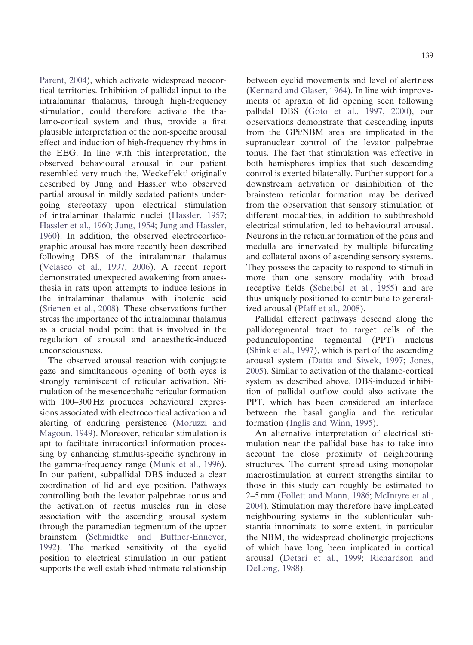[Parent, 2004\)](#page-18-0), which activate widespread neocortical territories. Inhibition of pallidal input to the intralaminar thalamus, through high-frequency stimulation, could therefore activate the thalamo-cortical system and thus, provide a first plausible interpretation of the non-specific arousal effect and induction of high-frequency rhythms in the EEG. In line with this interpretation, the observed behavioural arousal in our patient resembled very much the, Weckeffekt' originally described by Jung and Hassler who observed partial arousal in mildly sedated patients undergoing stereotaxy upon electrical stimulation of intralaminar thalamic nuclei [\(Hassler, 1957](#page-17-0); [Hassler et al., 1960](#page-17-0); [Jung, 1954](#page-18-0); [Jung and Hassler,](#page-18-0) [1960](#page-18-0)). In addition, the observed electrocorticographic arousal has more recently been described following DBS of the intralaminar thalamus [\(Velasco et al., 1997, 2006\)](#page-19-0). A recent report demonstrated unexpected awakening from anaesthesia in rats upon attempts to induce lesions in the intralaminar thalamus with ibotenic acid [\(Stienen et al., 2008](#page-19-0)). These observations further stress the importance of the intralaminar thalamus as a crucial nodal point that is involved in the regulation of arousal and anaesthetic-induced unconsciousness.

The observed arousal reaction with conjugate gaze and simultaneous opening of both eyes is strongly reminiscent of reticular activation. Stimulation of the mesencephalic reticular formation with 100–300 Hz produces behavioural expressions associated with electrocortical activation and alerting of enduring persistence ([Moruzzi and](#page-18-0) [Magoun, 1949\)](#page-18-0). Moreover, reticular stimulation is apt to facilitate intracortical information processing by enhancing stimulus-specific synchrony in the gamma-frequency range [\(Munk et al., 1996](#page-18-0)). In our patient, subpallidal DBS induced a clear coordination of lid and eye position. Pathways controlling both the levator palpebrae tonus and the activation of rectus muscles run in close association with the ascending arousal system through the paramedian tegmentum of the upper brainstem [\(Schmidtke and Buttner-Ennever,](#page-19-0) [1992](#page-19-0)). The marked sensitivity of the eyelid position to electrical stimulation in our patient supports the well established intimate relationship

between eyelid movements and level of alertness [\(Kennard and Glaser, 1964\)](#page-18-0). In line with improvements of apraxia of lid opening seen following pallidal DBS ([Goto et al., 1997, 2000](#page-17-0)), our observations demonstrate that descending inputs from the GPi/NBM area are implicated in the supranuclear control of the levator palpebrae tonus. The fact that stimulation was effective in both hemispheres implies that such descending control is exerted bilaterally. Further support for a downstream activation or disinhibition of the brainstem reticular formation may be derived from the observation that sensory stimulation of different modalities, in addition to subthreshold electrical stimulation, led to behavioural arousal. Neurons in the reticular formation of the pons and medulla are innervated by multiple bifurcating and collateral axons of ascending sensory systems. They possess the capacity to respond to stimuli in more than one sensory modality with broad receptive fields ([Scheibel et al., 1955](#page-19-0)) and are thus uniquely positioned to contribute to generalized arousal ([Pfaff et al., 2008](#page-19-0)).

Pallidal efferent pathways descend along the pallidotegmental tract to target cells of the pedunculopontine tegmental (PPT) nucleus [\(Shink et al., 1997](#page-19-0)), which is part of the ascending arousal system ([Datta and Siwek, 1997](#page-17-0); [Jones,](#page-18-0) [2005](#page-18-0)). Similar to activation of the thalamo-cortical system as described above, DBS-induced inhibition of pallidal outflow could also activate the PPT, which has been considered an interface between the basal ganglia and the reticular formation [\(Inglis and Winn, 1995](#page-18-0)).

An alternative interpretation of electrical stimulation near the pallidal base has to take into account the close proximity of neighbouring structures. The current spread using monopolar macrostimulation at current strengths similar to those in this study can roughly be estimated to 2–5 mm ([Follett and Mann, 1986;](#page-17-0) [McIntyre et al.,](#page-18-0) [2004](#page-18-0)). Stimulation may therefore have implicated neighbouring systems in the sublenticular substantia innominata to some extent, in particular the NBM, the widespread cholinergic projections of which have long been implicated in cortical arousal ([Detari et al., 1999](#page-17-0); [Richardson and](#page-19-0) [DeLong, 1988](#page-19-0)).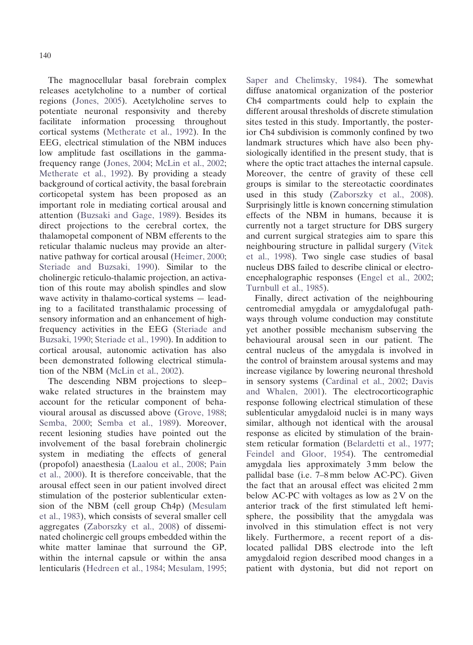The magnocellular basal forebrain complex releases acetylcholine to a number of cortical regions [\(Jones, 2005](#page-18-0)). Acetylcholine serves to potentiate neuronal responsivity and thereby facilitate information processing throughout cortical systems ([Metherate et al., 1992](#page-18-0)). In the EEG, electrical stimulation of the NBM induces low amplitude fast oscillations in the gammafrequency range [\(Jones, 2004](#page-18-0); [McLin et al., 2002](#page-18-0); [Metherate et al., 1992](#page-18-0)). By providing a steady background of cortical activity, the basal forebrain corticopetal system has been proposed as an important role in mediating cortical arousal and attention ([Buzsaki and Gage, 1989](#page-17-0)). Besides its direct projections to the cerebral cortex, the thalamopetal component of NBM efferents to the reticular thalamic nucleus may provide an alternative pathway for cortical arousal [\(Heimer, 2000](#page-17-0); [Steriade and Buzsaki, 1990\)](#page-19-0). Similar to the cholinergic reticulo-thalamic projection, an activation of this route may abolish spindles and slow wave activity in thalamo-cortical systems — leading to a facilitated transthalamic processing of sensory information and an enhancement of highfrequency activities in the EEG [\(Steriade and](#page-19-0) [Buzsaki, 1990](#page-19-0); [Steriade et al., 1990](#page-19-0)). In addition to cortical arousal, autonomic activation has also been demonstrated following electrical stimulation of the NBM [\(McLin et al., 2002\)](#page-18-0).

The descending NBM projections to sleep– wake related structures in the brainstem may account for the reticular component of behavioural arousal as discussed above ([Grove, 1988](#page-17-0); [Semba, 2000;](#page-19-0) [Semba et al., 1989](#page-19-0)). Moreover, recent lesioning studies have pointed out the involvement of the basal forebrain cholinergic system in mediating the effects of general (propofol) anaesthesia ([Laalou et al., 2008](#page-18-0); [Pain](#page-18-0) [et al., 2000\)](#page-18-0). It is therefore conceivable, that the arousal effect seen in our patient involved direct stimulation of the posterior sublenticular extension of the NBM (cell group Ch4p) [\(Mesulam](#page-18-0) [et al., 1983](#page-18-0)), which consists of several smaller cell aggregates [\(Zaborszky et al., 2008\)](#page-20-0) of disseminated cholinergic cell groups embedded within the white matter laminae that surround the GP, within the internal capsule or within the ansa lenticularis [\(Hedreen et al., 1984;](#page-17-0) [Mesulam, 1995](#page-18-0); [Saper and Chelimsky, 1984](#page-19-0)). The somewhat diffuse anatomical organization of the posterior Ch4 compartments could help to explain the different arousal thresholds of discrete stimulation sites tested in this study. Importantly, the posterior Ch4 subdivision is commonly confined by two landmark structures which have also been physiologically identified in the present study, that is where the optic tract attaches the internal capsule. Moreover, the centre of gravity of these cell groups is similar to the stereotactic coordinates used in this study ([Zaborszky et al., 2008\)](#page-20-0). Surprisingly little is known concerning stimulation effects of the NBM in humans, because it is currently not a target structure for DBS surgery and current surgical strategies aim to spare this neighbouring structure in pallidal surgery ([Vitek](#page-20-0) [et al., 1998\)](#page-20-0). Two single case studies of basal nucleus DBS failed to describe clinical or electroencephalographic responses [\(Engel et al., 2002](#page-17-0); [Turnbull et al., 1985](#page-19-0)).

Finally, direct activation of the neighbouring centromedial amygdala or amygdalofugal pathways through volume conduction may constitute yet another possible mechanism subserving the behavioural arousal seen in our patient. The central nucleus of the amygdala is involved in the control of brainstem arousal systems and may increase vigilance by lowering neuronal threshold in sensory systems ([Cardinal et al., 2002](#page-17-0); [Davis](#page-17-0) [and Whalen, 2001\)](#page-17-0). The electrocorticographic response following electrical stimulation of these sublenticular amygdaloid nuclei is in many ways similar, although not identical with the arousal response as elicited by stimulation of the brainstem reticular formation [\(Belardetti et al., 1977](#page-16-0); [Feindel and Gloor, 1954](#page-17-0)). The centromedial amygdala lies approximately 3 mm below the pallidal base (i.e. 7–8 mm below AC-PC). Given the fact that an arousal effect was elicited 2 mm below AC-PC with voltages as low as 2 V on the anterior track of the first stimulated left hemisphere, the possibility that the amygdala was involved in this stimulation effect is not very likely. Furthermore, a recent report of a dislocated pallidal DBS electrode into the left amygdaloid region described mood changes in a patient with dystonia, but did not report on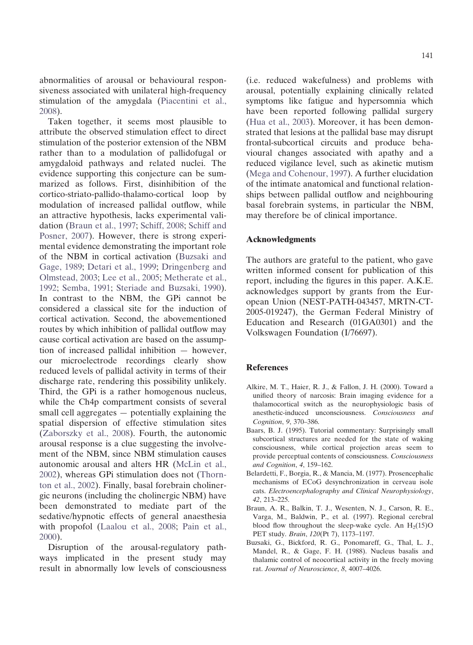<span id="page-16-0"></span>abnormalities of arousal or behavioural responsiveness associated with unilateral high-frequency stimulation of the amygdala [\(Piacentini et al.,](#page-19-0) [2008](#page-19-0)).

Taken together, it seems most plausible to attribute the observed stimulation effect to direct stimulation of the posterior extension of the NBM rather than to a modulation of pallidofugal or amygdaloid pathways and related nuclei. The evidence supporting this conjecture can be summarized as follows. First, disinhibition of the cortico-striato-pallido-thalamo-cortical loop by modulation of increased pallidal outflow, while an attractive hypothesis, lacks experimental validation (Braun et al., 1997; [Schiff, 2008;](#page-19-0) [Schiff and](#page-19-0) [Posner, 2007](#page-19-0)). However, there is strong experimental evidence demonstrating the important role of the NBM in cortical activation ([Buzsaki and](#page-17-0) [Gage, 1989;](#page-17-0) [Detari et al., 1999](#page-17-0); [Dringenberg and](#page-17-0) [Olmstead, 2003](#page-17-0); [Lee et al., 2005;](#page-18-0) [Metherate et al.,](#page-18-0) [1992](#page-18-0); [Semba, 1991;](#page-19-0) [Steriade and Buzsaki, 1990](#page-19-0)). In contrast to the NBM, the GPi cannot be considered a classical site for the induction of cortical activation. Second, the abovementioned routes by which inhibition of pallidal outflow may cause cortical activation are based on the assumption of increased pallidal inhibition — however, our microelectrode recordings clearly show reduced levels of pallidal activity in terms of their discharge rate, rendering this possibility unlikely. Third, the GPi is a rather homogenous nucleus, while the Ch4p compartment consists of several small cell aggregates — potentially explaining the spatial dispersion of effective stimulation sites [\(Zaborszky et al., 2008](#page-20-0)). Fourth, the autonomic arousal response is a clue suggesting the involvement of the NBM, since NBM stimulation causes autonomic arousal and alters HR ([McLin et al.,](#page-18-0) [2002](#page-18-0)), whereas GPi stimulation does not ([Thorn](#page-19-0)[ton et al., 2002\)](#page-19-0). Finally, basal forebrain cholinergic neurons (including the cholinergic NBM) have been demonstrated to mediate part of the sedative/hypnotic effects of general anaesthesia with propofol ([Laalou et al., 2008;](#page-18-0) [Pain et al.,](#page-18-0) [2000](#page-18-0)).

Disruption of the arousal-regulatory pathways implicated in the present study may result in abnormally low levels of consciousness (i.e. reduced wakefulness) and problems with arousal, potentially explaining clinically related symptoms like fatigue and hypersomnia which have been reported following pallidal surgery [\(Hua et al., 2003\)](#page-18-0). Moreover, it has been demonstrated that lesions at the pallidal base may disrupt frontal-subcortical circuits and produce behavioural changes associated with apathy and a reduced vigilance level, such as akinetic mutism [\(Mega and Cohenour, 1997\)](#page-18-0). A further elucidation of the intimate anatomical and functional relationships between pallidal outflow and neighbouring basal forebrain systems, in particular the NBM, may therefore be of clinical importance.

#### Acknowledgments

The authors are grateful to the patient, who gave written informed consent for publication of this report, including the figures in this paper. A.K.E. acknowledges support by grants from the European Union (NEST-PATH-043457, MRTN-CT-2005-019247), the German Federal Ministry of Education and Research (01GA0301) and the Volkswagen Foundation (I/76697).

## References

- Alkire, M. T., Haier, R. J., & Fallon, J. H. (2000). Toward a unified theory of narcosis: Brain imaging evidence for a thalamocortical switch as the neurophysiologic basis of anesthetic-induced unconsciousness. Consciousness and Cognition, 9, 370–386.
- Baars, B. J. (1995). Tutorial commentary: Surprisingly small subcortical structures are needed for the state of waking consciousness, while cortical projection areas seem to provide perceptual contents of consciousness. Consciousness and Cognition, 4, 159–162.
- Belardetti, F., Borgia, R., & Mancia, M. (1977). Prosencephalic mechanisms of ECoG desynchronization in cerveau isole cats. Electroencephalography and Clinical Neurophysiology, 42, 213–225.
- Braun, A. R., Balkin, T. J., Wesenten, N. J., Carson, R. E., Varga, M., Baldwin, P., et al. (1997). Regional cerebral blood flow throughout the sleep-wake cycle. An  $H<sub>2</sub>(15)O$ PET study. Brain, 120(Pt 7), 1173–1197.
- Buzsaki, G., Bickford, R. G., Ponomareff, G., Thal, L. J., Mandel, R., & Gage, F. H. (1988). Nucleus basalis and thalamic control of neocortical activity in the freely moving rat. Journal of Neuroscience, 8, 4007–4026.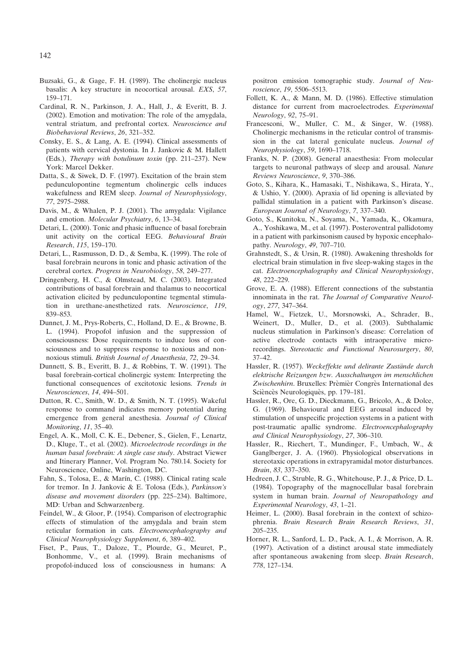- <span id="page-17-0"></span>Buzsaki, G., & Gage, F. H. (1989). The cholinergic nucleus basalis: A key structure in neocortical arousal. EXS, 57, 159–171.
- Cardinal, R. N., Parkinson, J. A., Hall, J., & Everitt, B. J. (2002). Emotion and motivation: The role of the amygdala, ventral striatum, and prefrontal cortex. Neuroscience and Biobehavioral Reviews, 26, 321–352.
- Consky, E. S., & Lang, A. E. (1994). Clinical assessments of patients with cervical dystonia. In J. Jankovic & M. Hallett (Eds.), Therapy with botulinum toxin (pp. 211–237). New York: Marcel Dekker.
- Datta, S., & Siwek, D. F. (1997). Excitation of the brain stem pedunculopontine tegmentum cholinergic cells induces wakefulness and REM sleep. Journal of Neurophysiology, 77, 2975–2988.
- Davis, M., & Whalen, P. J. (2001). The amygdala: Vigilance and emotion. Molecular Psychiatry, 6, 13–34.
- Detari, L. (2000). Tonic and phasic influence of basal forebrain unit activity on the cortical EEG. Behavioural Brain Research, 115, 159–170.
- Detari, L., Rasmusson, D. D., & Semba, K. (1999). The role of basal forebrain neurons in tonic and phasic activation of the cerebral cortex. Progress in Neurobiology, 58, 249–277.
- Dringenberg, H. C., & Olmstead, M. C. (2003). Integrated contributions of basal forebrain and thalamus to neocortical activation elicited by pedunculopontine tegmental stimulation in urethane-anesthetized rats. Neuroscience, 119, 839–853.
- Dunnet, J. M., Prys-Roberts, C., Holland, D. E., & Browne, B. L. (1994). Propofol infusion and the suppression of consciousness: Dose requirements to induce loss of consciousness and to suppress response to noxious and nonnoxious stimuli. British Journal of Anaesthesia, 72, 29–34.
- Dunnett, S. B., Everitt, B. J., & Robbins, T. W. (1991). The basal forebrain-cortical cholinergic system: Interpreting the functional consequences of excitotoxic lesions. Trends in Neurosciences, 14, 494–501.
- Dutton, R. C., Smith, W. D., & Smith, N. T. (1995). Wakeful response to command indicates memory potential during emergence from general anesthesia. Journal of Clinical Monitoring, 11, 35–40.
- Engel, A. K., Moll, C. K. E., Debener, S., Gielen, F., Lenartz, D., Kluge, T., et al. (2002). Microelectrode recordings in the human basal forebrain: A single case study. Abstract Viewer and Itinerary Planner, Vol. Program No. 780.14. Society for Neuroscience, Online, Washington, DC.
- Fahn, S., Tolosa, E., & Marín, C. (1988). Clinical rating scale for tremor. In J. Jankovic & E. Tolosa (Eds.), Parkinson's disease and movement disorders (pp. 225–234). Baltimore, MD: Urban and Schwarzenberg.
- Feindel, W., & Gloor, P. (1954). Comparison of electrographic effects of stimulation of the amygdala and brain stem reticular formation in cats. Electroencephalography and Clinical Neurophysiology Supplement, 6, 389–402.
- Fiset, P., Paus, T., Daloze, T., Plourde, G., Meuret, P., Bonhomme, V., et al. (1999). Brain mechanisms of propofol-induced loss of consciousness in humans: A

positron emission tomographic study. Journal of Neuroscience, 19, 5506–5513.

- Follett, K. A., & Mann, M. D. (1986). Effective stimulation distance for current from macroelectrodes. Experimental Neurology, 92, 75–91.
- Francesconi, W., Muller, C. M., & Singer, W. (1988). Cholinergic mechanisms in the reticular control of transmission in the cat lateral geniculate nucleus. Journal of Neurophysiology, 59, 1690–1718.
- Franks, N. P. (2008). General anaesthesia: From molecular targets to neuronal pathways of sleep and arousal. Nature Reviews Neuroscience, 9, 370–386.
- Goto, S., Kihara, K., Hamasaki, T., Nishikawa, S., Hirata, Y., & Ushio, Y. (2000). Apraxia of lid opening is alleviated by pallidal stimulation in a patient with Parkinson's disease. European Journal of Neurology, 7, 337–340.
- Goto, S., Kunitoku, N., Soyama, N., Yamada, K., Okamura, A., Yoshikawa, M., et al. (1997). Posteroventral pallidotomy in a patient with parkinsonism caused by hypoxic encephalopathy. Neurology, 49, 707–710.
- Grahnstedt, S., & Ursin, R. (1980). Awakening thresholds for electrical brain stimulation in five sleep-waking stages in the cat. Electroencephalography and Clinical Neurophysiology, 48, 222–229.
- Grove, E. A. (1988). Efferent connections of the substantia innominata in the rat. The Journal of Comparative Neurology, 277, 347–364.
- Hamel, W., Fietzek, U., Morsnowski, A., Schrader, B., Weinert, D., Muller, D., et al. (2003). Subthalamic nucleus stimulation in Parkinson's disease: Correlation of active electrode contacts with intraoperative microrecordings. Stereotactic and Functional Neurosurgery, 80, 37–42.
- Hassler, R. (1957). Weckeffekte und delirante Zustände durch elektrische Reizungen bzw. Ausschaltungen im menschlichen Zwischenhirn. Bruxelles: Prèmièr Congrès International des Scièncès Neurologiquès, pp. 179–181.
- Hassler, R., Ore, G. D., Dieckmann, G., Bricolo, A., & Dolce, G. (1969). Behavioural and EEG arousal induced by stimulation of unspecific projection systems in a patient with post-traumatic apallic syndrome. Electroencephalography and Clinical Neurophysiology, 27, 306–310.
- Hassler, R., Riechert, T., Mundinger, F., Umbach, W., & Ganglberger, J. A. (1960). Physiological observations in stereotaxic operations in extrapyramidal motor disturbances. Brain, 83, 337–350.
- Hedreen, J. C., Struble, R. G., Whitehouse, P. J., & Price, D. L. (1984). Topography of the magnocellular basal forebrain system in human brain. Journal of Neuropathology and Experimental Neurology, 43, 1–21.
- Heimer, L. (2000). Basal forebrain in the context of schizophrenia. Brain Research Brain Research Reviews, 31, 205–235.
- Horner, R. L., Sanford, L. D., Pack, A. I., & Morrison, A. R. (1997). Activation of a distinct arousal state immediately after spontaneous awakening from sleep. Brain Research, 778, 127–134.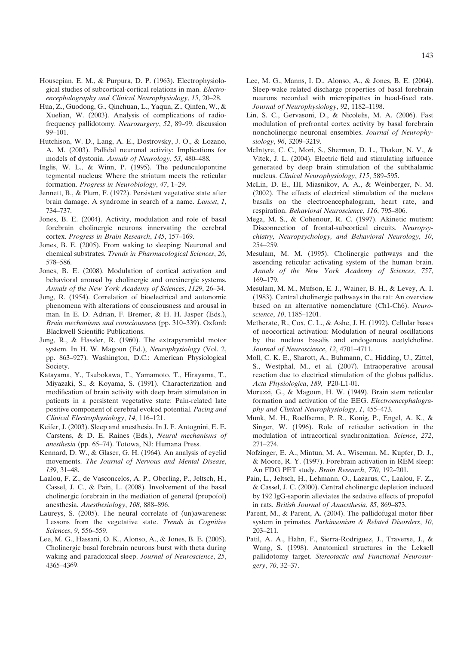- <span id="page-18-0"></span>Housepian, E. M., & Purpura, D. P. (1963). Electrophysiological studies of subcortical-cortical relations in man. Electroencephalography and Clinical Neurophysiology, 15, 20–28.
- Hua, Z., Guodong, G., Qinchuan, L., Yaqun, Z., Qinfen, W., & Xuelian, W. (2003). Analysis of complications of radiofrequency pallidotomy. Neurosurgery, 52, 89–99. discussion 99–101.
- Hutchison, W. D., Lang, A. E., Dostrovsky, J. O., & Lozano, A. M. (2003). Pallidal neuronal activity: Implications for models of dystonia. Annals of Neurology, 53, 480–488.
- Inglis, W. L., & Winn, P. (1995). The pedunculopontine tegmental nucleus: Where the striatum meets the reticular formation. Progress in Neurobiology, 47, 1–29.
- Jennett, B., & Plum, F. (1972). Persistent vegetative state after brain damage. A syndrome in search of a name. Lancet, 1, 734–737.
- Jones, B. E. (2004). Activity, modulation and role of basal forebrain cholinergic neurons innervating the cerebral cortex. Progress in Brain Research, 145, 157–169.
- Jones, B. E. (2005). From waking to sleeping: Neuronal and chemical substrates. Trends in Pharmacological Sciences, 26, 578–586.
- Jones, B. E. (2008). Modulation of cortical activation and behavioral arousal by cholinergic and orexinergic systems. Annals of the New York Academy of Sciences, 1129, 26–34.
- Jung, R. (1954). Correlation of bioelectrical and autonomic phenomena with alterations of consciousness and arousal in man. In E. D. Adrian, F. Bremer, & H. H. Jasper (Eds.), Brain mechanisms and consciousness (pp. 310–339). Oxford: Blackwell Scientific Publications.
- Jung, R., & Hassler, R. (1960). The extrapyramidal motor system. In H. W. Magoun (Ed.), Neurophysiology (Vol. 2, pp. 863–927). Washington, D.C.: American Physiological Society.
- Katayama, Y., Tsubokawa, T., Yamamoto, T., Hirayama, T., Miyazaki, S., & Koyama, S. (1991). Characterization and modification of brain activity with deep brain stimulation in patients in a persistent vegetative state: Pain-related late positive component of cerebral evoked potential. Pacing and Clinical Electrophysiology, 14, 116–121.
- Keifer, J. (2003). Sleep and anesthesia. In J. F. Antognini, E. E. Carstens, & D. E. Raines (Eds.), Neural mechanisms of anesthesia (pp. 65–74). Totowa, NJ: Humana Press.
- Kennard, D. W., & Glaser, G. H. (1964). An analysis of eyelid movements. The Journal of Nervous and Mental Disease, 139, 31–48.
- Laalou, F. Z., de Vasconcelos, A. P., Oberling, P., Jeltsch, H., Cassel, J. C., & Pain, L. (2008). Involvement of the basal cholinergic forebrain in the mediation of general (propofol) anesthesia. Anesthesiology, 108, 888–896.
- Laureys, S. (2005). The neural correlate of (un)awareness: Lessons from the vegetative state. Trends in Cognitive Sciences, 9, 556–559.
- Lee, M. G., Hassani, O. K., Alonso, A., & Jones, B. E. (2005). Cholinergic basal forebrain neurons burst with theta during waking and paradoxical sleep. Journal of Neuroscience, 25, 4365–4369.
- Lee, M. G., Manns, I. D., Alonso, A., & Jones, B. E. (2004). Sleep-wake related discharge properties of basal forebrain neurons recorded with micropipettes in head-fixed rats. Journal of Neurophysiology, 92, 1182–1198.
- Lin, S. C., Gervasoni, D., & Nicolelis, M. A. (2006). Fast modulation of prefrontal cortex activity by basal forebrain noncholinergic neuronal ensembles. Journal of Neurophysiology, 96, 3209–3219.
- McIntyre, C. C., Mori, S., Sherman, D. L., Thakor, N. V., & Vitek, J. L. (2004). Electric field and stimulating influence generated by deep brain stimulation of the subthalamic nucleus. Clinical Neurophysiology, 115, 589–595.
- McLin, D. E., III, Miasnikov, A. A., & Weinberger, N. M. (2002). The effects of electrical stimulation of the nucleus basalis on the electroencephalogram, heart rate, and respiration. Behavioral Neuroscience, 116, 795–806.
- Mega, M. S., & Cohenour, R. C. (1997). Akinetic mutism: Disconnection of frontal-subcortical circuits. Neuropsychiatry, Neuropsychology, and Behavioral Neurology, 10, 254–259.
- Mesulam, M. M. (1995). Cholinergic pathways and the ascending reticular activating system of the human brain. Annals of the New York Academy of Sciences, 757, 169–179.
- Mesulam, M. M., Mufson, E. J., Wainer, B. H., & Levey, A. I. (1983). Central cholinergic pathways in the rat: An overview based on an alternative nomenclature (Ch1-Ch6). Neuroscience, 10, 1185–1201.
- Metherate, R., Cox, C. L., & Ashe, J. H. (1992). Cellular bases of neocortical activation: Modulation of neural oscillations by the nucleus basalis and endogenous acetylcholine. Journal of Neuroscience, 12, 4701–4711.
- Moll, C. K. E., Sharott, A., Buhmann, C., Hidding, U., Zittel, S., Westphal, M., et al. (2007). Intraoperative arousal reaction due to electrical stimulation of the globus pallidus. Acta Physiologica, 189, P20-L1-01.
- Moruzzi, G., & Magoun, H. W. (1949). Brain stem reticular formation and activation of the EEG. Electroencephalography and Clinical Neurophysiology, 1, 455–473.
- Munk, M. H., Roelfsema, P. R., Konig, P., Engel, A. K., & Singer, W. (1996). Role of reticular activation in the modulation of intracortical synchronization. Science, 272, 271–274.
- Nofzinger, E. A., Mintun, M. A., Wiseman, M., Kupfer, D. J., & Moore, R. Y. (1997). Forebrain activation in REM sleep: An FDG PET study. Brain Research, 770, 192–201.
- Pain, L., Jeltsch, H., Lehmann, O., Lazarus, C., Laalou, F. Z., & Cassel, J. C. (2000). Central cholinergic depletion induced by 192 IgG-saporin alleviates the sedative effects of propofol in rats. British Journal of Anaesthesia, 85, 869–873.
- Parent, M., & Parent, A. (2004). The pallidofugal motor fiber system in primates. Parkinsonism & Related Disorders, 10, 203–211.
- Patil, A. A., Hahn, F., Sierra-Rodriguez, J., Traverse, J., & Wang, S. (1998). Anatomical structures in the Leksell pallidotomy target. Stereotactic and Functional Neurosurgery, 70, 32–37.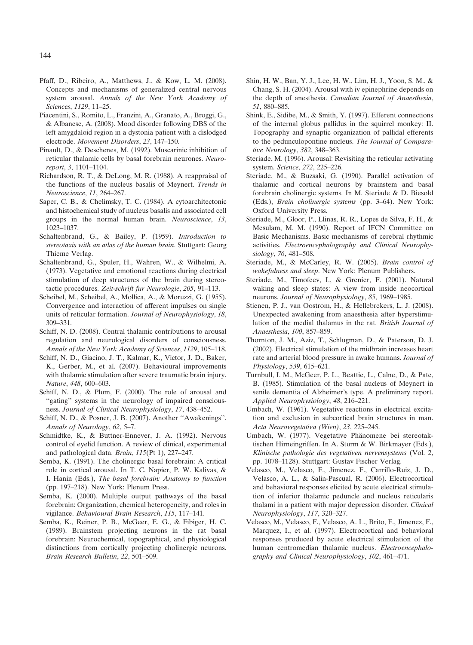- <span id="page-19-0"></span>Pfaff, D., Ribeiro, A., Matthews, J., & Kow, L. M. (2008). Concepts and mechanisms of generalized central nervous system arousal. Annals of the New York Academy of Sciences, 1129, 11–25.
- Piacentini, S., Romito, L., Franzini, A., Granato, A., Broggi, G., & Albanese, A. (2008). Mood disorder following DBS of the left amygdaloid region in a dystonia patient with a dislodged electrode. Movement Disorders, 23, 147–150.
- Pinault, D., & Deschenes, M. (1992). Muscarinic inhibition of reticular thalamic cells by basal forebrain neurones. Neuroreport, 3, 1101–1104.
- Richardson, R. T., & DeLong, M. R. (1988). A reappraisal of the functions of the nucleus basalis of Meynert. Trends in Neuroscience, 11, 264–267.
- Saper, C. B., & Chelimsky, T. C. (1984). A cytoarchitectonic and histochemical study of nucleus basalis and associated cell groups in the normal human brain. Neuroscience, 13, 1023–1037.
- Schaltenbrand, G., & Bailey, P. (1959). Introduction to stereotaxis with an atlas of the human brain. Stuttgart: Georg Thieme Verlag.
- Schaltenbrand, G., Spuler, H., Wahren, W., & Wilhelmi, A. (1973). Vegetative and emotional reactions during electrical stimulation of deep structures of the brain during stereotactic procedures. Zeit-schrift fur Neurologie, 205, 91–113.
- Scheibel, M., Scheibel, A., Mollica, A., & Moruzzi, G. (1955). Convergence and interaction of afferent impulses on single units of reticular formation. Journal of Neurophysiology, 18, 309–331.
- Schiff, N. D. (2008). Central thalamic contributions to arousal regulation and neurological disorders of consciousness. Annals of the New York Academy of Sciences, 1129, 105–118.
- Schiff, N. D., Giacino, J. T., Kalmar, K., Victor, J. D., Baker, K., Gerber, M., et al. (2007). Behavioural improvements with thalamic stimulation after severe traumatic brain injury. Nature, 448, 600–603.
- Schiff, N. D., & Plum, F. (2000). The role of arousal and "gating" systems in the neurology of impaired consciousness. Journal of Clinical Neurophysiology, 17, 438–452.
- Schiff, N. D., & Posner, J. B. (2007). Another ''Awakenings''. Annals of Neurology, 62, 5–7.
- Schmidtke, K., & Buttner-Ennever, J. A. (1992). Nervous control of eyelid function. A review of clinical, experimental and pathological data. Brain, 115(Pt 1), 227–247.
- Semba, K. (1991). The cholinergic basal forebrain: A critical role in cortical arousal. In T. C. Napier, P. W. Kalivas, & I. Hanin (Eds.), The basal forebrain: Anatomy to function (pp. 197–218). New York: Plenum Press.
- Semba, K. (2000). Multiple output pathways of the basal forebrain: Organization, chemical heterogeneity, and roles in vigilance. Behavioural Brain Research, 115, 117–141.
- Semba, K., Reiner, P. B., McGeer, E. G., & Fibiger, H. C. (1989). Brainstem projecting neurons in the rat basal forebrain: Neurochemical, topographical, and physiological distinctions from cortically projecting cholinergic neurons. Brain Research Bulletin, 22, 501–509.
- Shin, H. W., Ban, Y. J., Lee, H. W., Lim, H. J., Yoon, S. M., & Chang, S. H. (2004). Arousal with iv epinephrine depends on the depth of anesthesia. Canadian Journal of Anaesthesia, 51, 880–885.
- Shink, E., Sidibe, M., & Smith, Y. (1997). Efferent connections of the internal globus pallidus in the squirrel monkey: II. Topography and synaptic organization of pallidal efferents to the pedunculopontine nucleus. The Journal of Comparative Neurology, 382, 348–363.
- Steriade, M. (1996). Arousal: Revisiting the reticular activating system. Science, 272, 225–226.
- Steriade, M., & Buzsaki, G. (1990). Parallel activation of thalamic and cortical neurons by brainstem and basal forebrain cholinergic systems. In M. Steriade & D. Biesold (Eds.), Brain cholinergic systems (pp. 3–64). New York: Oxford University Press.
- Steriade, M., Gloor, P., Llinas, R. R., Lopes de Silva, F. H., & Mesulam, M. M. (1990). Report of IFCN Committee on Basic Mechanisms. Basic mechanisms of cerebral rhythmic activities. Electroencephalography and Clinical Neurophysiology, 76, 481–508.
- Steriade, M., & McCarley, R. W. (2005). Brain control of wakefulness and sleep. New York: Plenum Publishers.
- Steriade, M., Timofeev, I., & Grenier, F. (2001). Natural waking and sleep states: A view from inside neocortical neurons. Journal of Neurophysiology, 85, 1969–1985.
- Stienen, P. J., van Oostrom, H., & Hellebrekers, L. J. (2008). Unexpected awakening from anaesthesia after hyperstimulation of the medial thalamus in the rat. British Journal of Anaesthesia, 100, 857–859.
- Thornton, J. M., Aziz, T., Schlugman, D., & Paterson, D. J. (2002). Electrical stimulation of the midbrain increases heart rate and arterial blood pressure in awake humans. Journal of Physiology, 539, 615–621.
- Turnbull, I. M., McGeer, P. L., Beattie, L., Calne, D., & Pate, B. (1985). Stimulation of the basal nucleus of Meynert in senile dementia of Alzheimer's type. A preliminary report. Applied Neurophysiology, 48, 216–221.
- Umbach, W. (1961). Vegetative reactions in electrical excitation and exclusion in subcortical brain structures in man. Acta Neurovegetativa (Wien), 23, 225–245.
- Umbach, W. (1977). Vegetative Phänomene bei stereotaktischen Hirneingriffen. In A. Sturm & W. Birkmayer (Eds.), Klinische pathologie des vegetativen nervensystems (Vol. 2, pp. 1078–1128). Stuttgart: Gustav Fischer Verlag.
- Velasco, M., Velasco, F., Jimenez, F., Carrillo-Ruiz, J. D., Velasco, A. L., & Salin-Pascual, R. (2006). Electrocortical and behavioral responses elicited by acute electrical stimulation of inferior thalamic peduncle and nucleus reticularis thalami in a patient with major depression disorder. Clinical Neurophysiology, 117, 320–327.
- Velasco, M., Velasco, F., Velasco, A. L., Brito, F., Jimenez, F., Marquez, I., et al. (1997). Electrocortical and behavioral responses produced by acute electrical stimulation of the human centromedian thalamic nucleus. Electroencephalography and Clinical Neurophysiology, 102, 461–471.